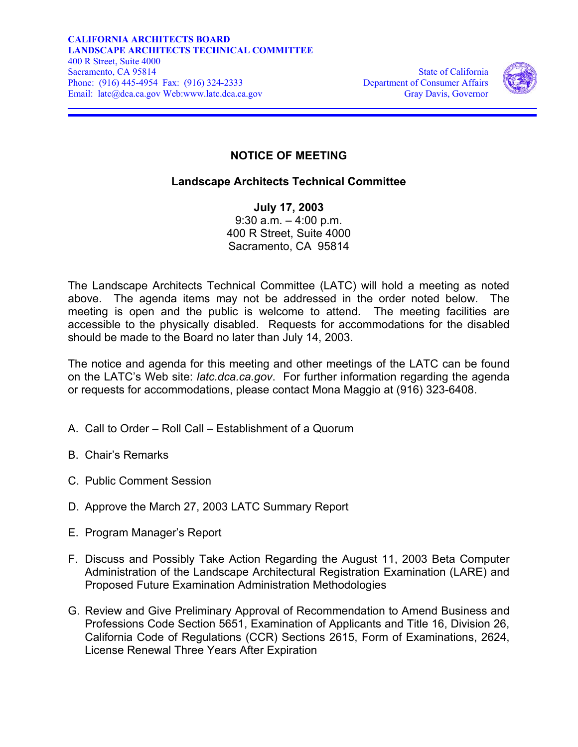

## **NOTICE OF MEETING**

## **Landscape Architects Technical Committee**

**July 17, 2003**  9:30 a.m. – 4:00 p.m. 400 R Street, Suite 4000 Sacramento, CA 95814

The Landscape Architects Technical Committee (LATC) will hold a meeting as noted above. The agenda items may not be addressed in the order noted below. The meeting is open and the public is welcome to attend. The meeting facilities are accessible to the physically disabled. Requests for accommodations for the disabled should be made to the Board no later than July 14, 2003.

The notice and agenda for this meeting and other meetings of the LATC can be found on the LATC's Web site: *latc.dca.ca.gov*. For further information regarding the agenda or requests for accommodations, please contact Mona Maggio at (916) 323-6408.

- A. Call to Order Roll Call Establishment of a Quorum
- B. Chair's Remarks
- C. Public Comment Session
- D. Approve the March 27, 2003 LATC Summary Report
- E. Program Manager's Report
- F. Discuss and Possibly Take Action Regarding the August 11, 2003 Beta Computer Administration of the Landscape Architectural Registration Examination (LARE) and Proposed Future Examination Administration Methodologies
- G. Review and Give Preliminary Approval of Recommendation to Amend Business and Professions Code Section 5651, Examination of Applicants and Title 16, Division 26, California Code of Regulations (CCR) Sections 2615, Form of Examinations, 2624, License Renewal Three Years After Expiration